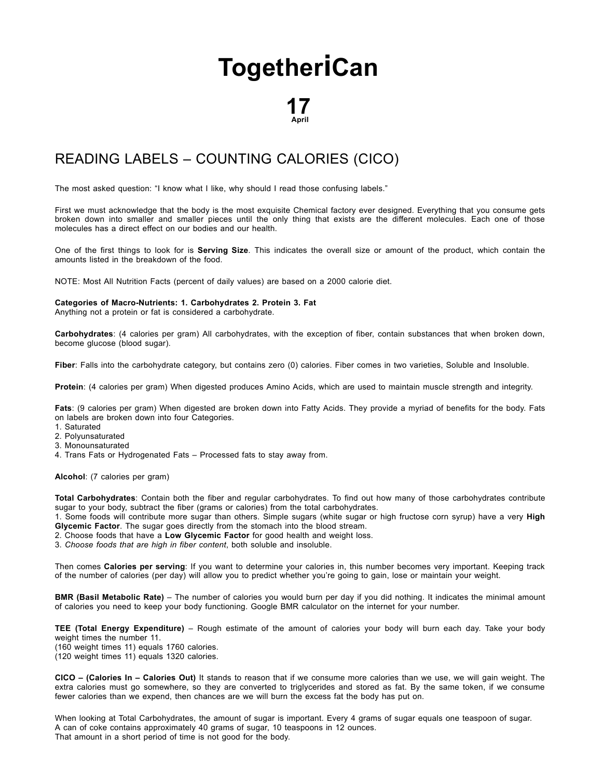## **[Together](http://togetherican.com/)iCan**

## 17 April

## READING LABELS – [COUNTING](file:///E:/GilbertStudios/clients/michaelMcCright/togetherican.com/wwwroot/events-180417a-Reading-Labels-Counting-Calories.html) CALORIES (CICO)

The most asked question: "I know what I like, why should I read those confusing labels."

First we must acknowledge that the body is the most exquisite Chemical factory ever designed. Everything that you consume gets broken down into smaller and smaller pieces until the only thing that exists are the different molecules. Each one of those molecules has a direct effect on our bodies and our health.

One of the first things to look for is **Serving Size**. This indicates the overall size or amount of the product, which contain the amounts listed in the breakdown of the food.

NOTE: Most All Nutrition Facts (percent of daily values) are based on a 2000 calorie diet.

## Categories of Macro-Nutrients: 1. Carbohydrates 2. Protein 3. Fat

Anything not a protein or fat is considered a carbohydrate.

Carbohydrates: (4 calories per gram) All carbohydrates, with the exception of fiber, contain substances that when broken down, become glucose (blood sugar).

Fiber: Falls into the carbohydrate category, but contains zero (0) calories. Fiber comes in two varieties, Soluble and Insoluble.

Protein: (4 calories per gram) When digested produces Amino Acids, which are used to maintain muscle strength and integrity.

Fats: (9 calories per gram) When digested are broken down into Fatty Acids. They provide a myriad of benefits for the body. Fats on labels are broken down into four Categories.

- 1. Saturated
- 2. Polyunsaturated
- 3. Monounsaturated

4. Trans Fats or Hydrogenated Fats – Processed fats to stay away from.

Alcohol: (7 calories per gram)

Total Carbohydrates: Contain both the fiber and regular carbohydrates. To find out how many of those carbohydrates contribute sugar to your body, subtract the fiber (grams or calories) from the total carbohydrates.

1. Some foods will contribute more sugar than others. Simple sugars (white sugar or high fructose corn syrup) have a very **High** Glycemic Factor. The sugar goes directly from the stomach into the blood stream.

- 2. Choose foods that have a Low Glycemic Factor for good health and weight loss.
- 3. Choose foods that are high in fiber content, both soluble and insoluble.

Then comes Calories per serving: If you want to determine your calories in, this number becomes very important. Keeping track of the number of calories (per day) will allow you to predict whether you're going to gain, lose or maintain your weight.

BMR (Basil Metabolic Rate) – The number of calories you would burn per day if you did nothing. It indicates the minimal amount of calories you need to keep your body functioning. Google BMR calculator on the internet for your number.

TEE (Total Energy Expenditure) – Rough estimate of the amount of calories your body will burn each day. Take your body weight times the number 11. (160 weight times 11) equals 1760 calories.

(120 weight times 11) equals 1320 calories.

CICO – (Calories In – Calories Out) It stands to reason that if we consume more calories than we use, we will gain weight. The extra calories must go somewhere, so they are converted to triglycerides and stored as fat. By the same token, if we consume fewer calories than we expend, then chances are we will burn the excess fat the body has put on.

When looking at Total Carbohydrates, the amount of sugar is important. Every 4 grams of sugar equals one teaspoon of sugar. A can of coke contains approximately 40 grams of sugar, 10 teaspoons in 12 ounces. That amount in a short period of time is not good for the body.